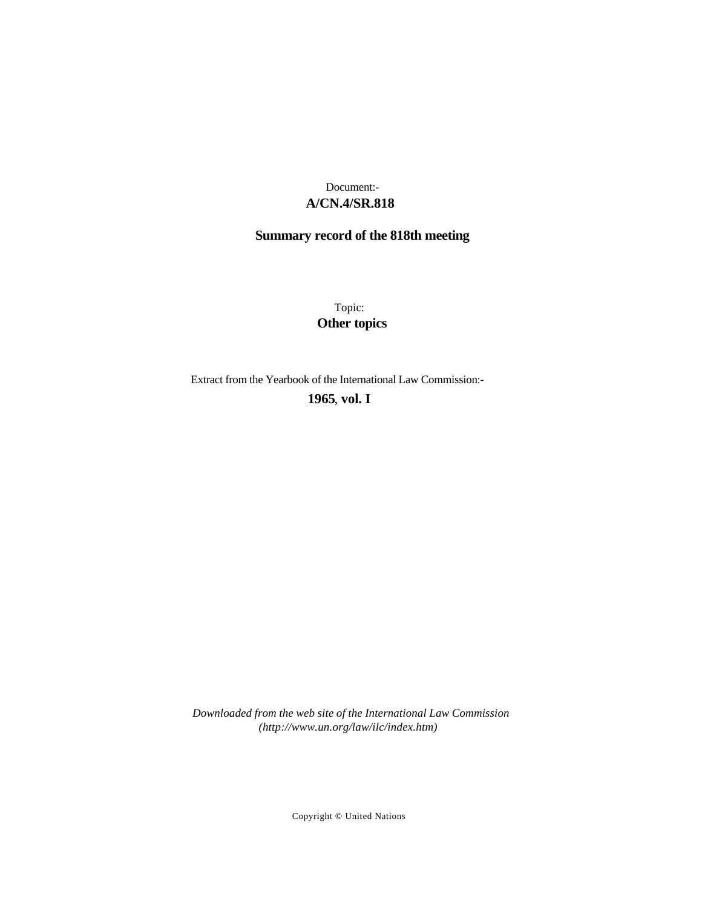# **A/CN.4/SR.818** Document:-

# **Summary record of the 818th meeting**

Topic: **Other topics**

Extract from the Yearbook of the International Law Commission:-

**1965** , **vol. I**

*Downloaded from the web site of the International Law Commission (http://www.un.org/law/ilc/index.htm)*

Copyright © United Nations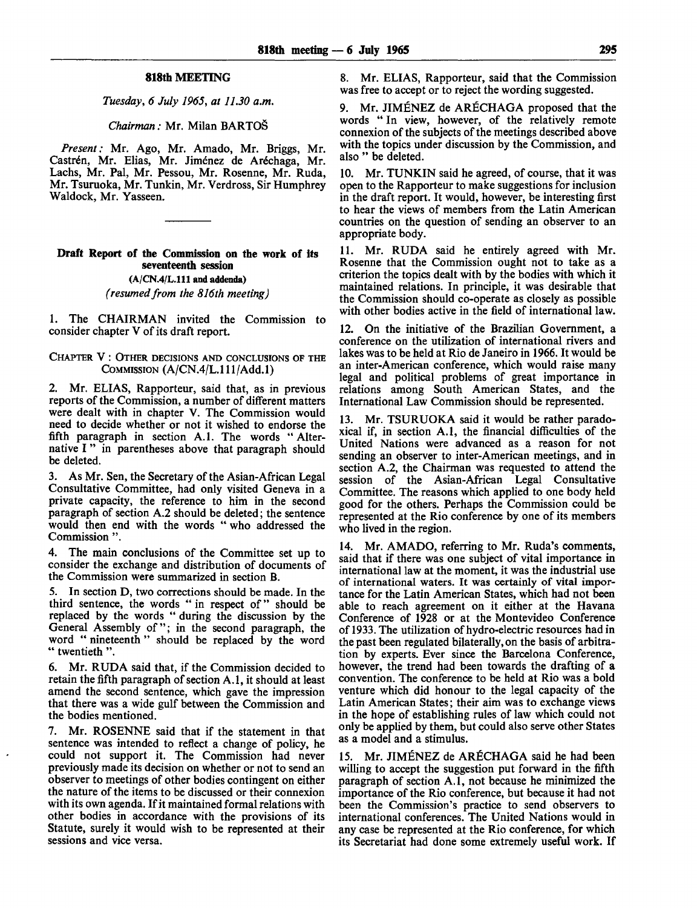# **818th MEETING**

*Tuesday, 6 July 1965, at 11.30 a.m.*

#### *Chairman:* Mr. Milan BARTOS

*Present:* Mr. Ago, Mr. Amado, Mr. Briggs, Mr. Castrén, Mr. Elias, Mr. Jiménez de Aréchaga, Mr. Lachs, Mr. Pal, Mr. Pessou, Mr. Rosenne, Mr. Ruda, Mr. Tsuruoka, Mr. Tunkin, Mr. Verdross, Sir Humphrey Waldock, Mr. Yasseen.

# **Draft Report of the Commission on the work of its seventeenth session (A/CN.4/L.111 and addenda)** *(resumed from the 816th meeting)*

1. The CHAIRMAN invited the Commission to consider chapter V of its draft report.

#### CHAPTER V : OTHER DECISIONS AND CONCLUSIONS OF THE COMMISSION (A/CN.4/L.111/Add.1)

2. Mr. ELIAS, Rapporteur, said that, as in previous reports of the Commission, a number of different matters were dealt with in chapter V. The Commission would need to decide whether or not it wished to endorse the fifth paragraph in section A.I. The words "Alternative I" in parentheses above that paragraph should be deleted.

3. As Mr. Sen, the Secretary of the Asian-African Legal Consultative Committee, had only visited Geneva in a private capacity, the reference to him in the second paragraph of section A.2 should be deleted; the sentence would then end with the words " who addressed the Commission ".

4. The main conclusions of the Committee set up to consider the exchange and distribution of documents of the Commission were summarized in section B.

5. In section D, two corrections should be made. In the third sentence, the words " in respect of" should be replaced by the words " during the discussion by the General Assembly of"; in the second paragraph, the word " nineteenth " should be replaced by the word " twentieth".

6. Mr. RUDA said that, if the Commission decided to retain the fifth paragraph of section A.I, it should at least amend the second sentence, which gave the impression that there was a wide gulf between the Commission and the bodies mentioned.

7. Mr. ROSENNE said that if the statement in that sentence was intended to reflect a change of policy, he could not support it. The Commission had never previously made its decision on whether or not to send an observer to meetings of other bodies contingent on either the nature of the items to be discussed or their connexion with its own agenda. If it maintained formal relations with other bodies in accordance with the provisions of its Statute, surely it would wish to be represented at their sessions and vice versa.

8. Mr. ELIAS, Rapporteur, said that the Commission was free to accept or to reject the wording suggested.

9. Mr. JIMENEZ de ARECHAGA proposed that the words " In view, however, of the relatively remote connexion of the subjects of the meetings described above with the topics under discussion by the Commission, and also " be deleted.

10. Mr. TUNKIN said he agreed, of course, that it was open to the Rapporteur to make suggestions for inclusion in the draft report. It would, however, be interesting first to hear the views of members from the Latin American countries on the question of sending an observer to an appropriate body.

11. Mr. RUDA said he entirely agreed with Mr. Rosenne that the Commission ought not to take as a criterion the topics dealt with by the bodies with which it maintained relations. In principle, it was desirable that the Commission should co-operate as closely as possible with other bodies active in the field of international law.

12. On the initiative of the Brazilian Government, a conference on the utilization of international rivers and lakes was to be held at Rio de Janeiro in 1966. It would be an inter-American conference, which would raise many legal and political problems of great importance in relations among South American States, and the International Law Commission should be represented.

13. Mr. TSURUOKA said it would be rather paradoxical if, in section A.I, the financial difficulties of the United Nations were advanced as a reason for not sending an observer to inter-American meetings, and in section A.2, the Chairman was requested to attend the session of the Asian-African Legal Consultative Committee. The reasons which applied to one body held good for the others. Perhaps the Commission could be represented at the Rio conference by one of its members who lived in the region.

14. Mr. AMADO, referring to Mr. Ruda's comments, said that if there was one subject of vital importance in international law at the moment, it was the industrial use of international waters. It was certainly of vital importance for the Latin American States, which had not been able to reach agreement on it either at the Havana Conference of 1928 or at the Montevideo Conference of 1933. The utilization of hydro-electric resources had in the past been regulated bilaterally, on the basis of arbitration by experts. Ever since the Barcelona Conference, however, the trend had been towards the drafting of a convention. The conference to be held at Rio was a bold venture which did honour to the legal capacity of the Latin American States; their aim was to exchange views in the hope of establishing rules of law which could not only be applied by them, but could also serve other States as a model and a stimulus.

15. Mr. JIMENEZ de ARECHAGA said he had been willing to accept the suggestion put forward in the fifth paragraph of section A.I, not because he minimized the importance of the Rio conference, but because it had not been the Commission's practice to send observers to international conferences. The United Nations would in any case be represented at the Rio conference, for which its Secretariat had done some extremely useful work. If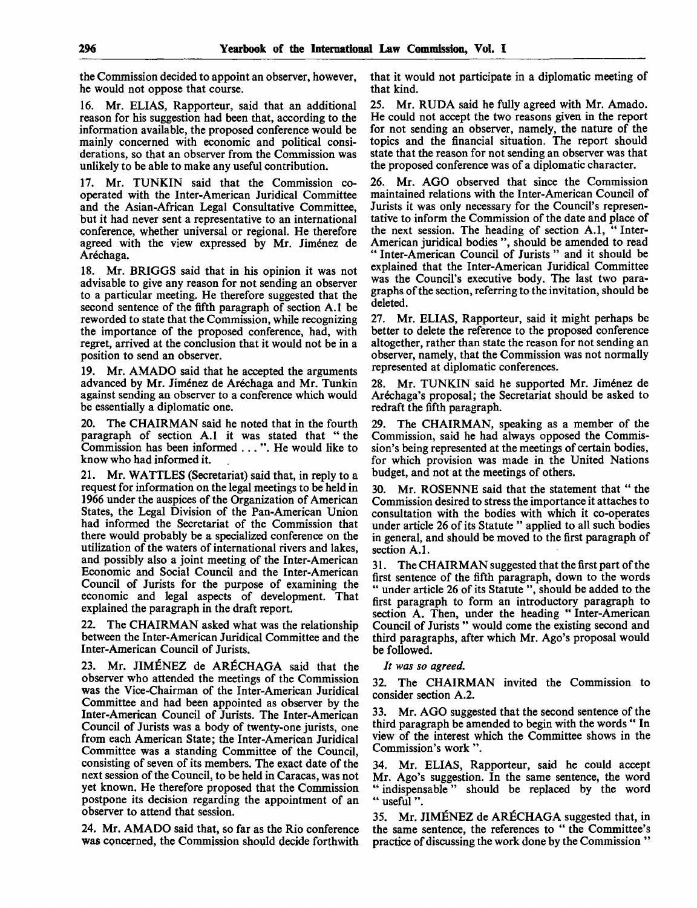the Commission decided to appoint an observer, however, he would not oppose that course.

16. Mr. ELIAS, Rapporteur, said that an additional reason for his suggestion had been that, according to the information available, the proposed conference would be mainly concerned with economic and political considerations, so that an observer from the Commission was unlikely to be able to make any useful contribution.

17. Mr. TUNKIN said that the Commission cooperated with the Inter-American Juridical Committee and the Asian-African Legal Consultative Committee, but it had never sent a representative to an international conference, whether universal or regional. He therefore agreed with the view expressed by Mr. Jiménez de Aréchaga.

18. Mr. BRIGGS said that in his opinion it was not advisable to give any reason for not sending an observer to a particular meeting. He therefore suggested that the second sentence of the fifth paragraph of section A.I be reworded to state that the Commission, while recognizing the importance of the proposed conference, had, with regret, arrived at the conclusion that it would not be in a position to send an observer.

19. Mr. AMADO said that he accepted the arguments advanced by Mr. Jiménez de Aréchaga and Mr. Tunkin against sending an observer to a conference which would be essentially a diplomatic one.

20. The CHAIRMAN said he noted that in the fourth paragraph of section A.I it was stated that " the Commission has been informed .. . ". He would like to know who had informed it.

21. Mr. WATTLES (Secretariat) said that, in reply to a request for information on the legal meetings to be held in 1966 under the auspices of the Organization of American States, the Legal Division of the Pan-American Union had informed the Secretariat of the Commission that there would probably be a specialized conference on the utilization of the waters of international rivers and lakes, and possibly also a joint meeting of the Inter-American Economic and Social Council and the Inter-American Council of Jurists for the purpose of examining the economic and legal aspects of development. That explained the paragraph in the draft report.

22. The CHAIRMAN asked what was the relationship between the Inter-American Juridical Committee and the Inter-American Council of Jurists.

23. Mr. JIMENEZ de ARECHAGA said that the observer who attended the meetings of the Commission was the Vice-Chairman of the Inter-American Juridical Committee and had been appointed as observer by the Inter-American Council of Jurists. The Inter-American Council of Jurists was a body of twenty-one jurists, one from each American State; the Inter-American Juridical Committee was a standing Committee of the Council, consisting of seven of its members. The exact date of the next session of the Council, to be held in Caracas, was not yet known. He therefore proposed that the Commission postpone its decision regarding the appointment of an observer to attend that session.

24. Mr. AMADO said that, so far as the Rio conference was concerned, the Commission should decide forthwith that it would not participate in a diplomatic meeting of that kind.

25. Mr. RUDA said he fully agreed with Mr. Amado. He could not accept the two reasons given in the report for not sending an observer, namely, the nature of the topics and the financial situation. The report should state that the reason for not sending an observer was that the proposed conference was of a diplomatic character.

26. Mr. AGO observed that since the Commission maintained relations with the Inter-American Council of Jurists it was only necessary for the Council's representative to inform the Commission of the date and place of the next session. The heading of section A.1, " Inter-American juridical bodies ", should be amended to read " Inter-American Council of Jurists" and it should be explained that the Inter-American Juridical Committee was the Council's executive body. The last two paragraphs of the section, referring to the invitation, should be deleted.

27. Mr. ELIAS, Rapporteur, said it might perhaps be better to delete the reference to the proposed conference altogether, rather than state the reason for not sending an observer, namely, that the Commission was not normally represented at diplomatic conferences.

28. Mr. TUNKIN said he supported Mr. Jimenez de Aréchaga's proposal; the Secretariat should be asked to redraft the fifth paragraph.

29. The CHAIRMAN, speaking as a member of the Commission, said he had always opposed the Commission's being represented at the meetings of certain bodies, for which provision was made in the United Nations budget, and not at the meetings of others.

30. Mr. ROSENNE said that the statement that " the Commission desired to stress the importance it attaches to consultation with the bodies with which it co-operates under article 26 of its Statute " applied to all such bodies in general, and should be moved to the first paragraph of section A.I.

31. The CHAIRMAN suggested that the first part of the first sentence of the fifth paragraph, down to the words " under article 26 of its Statute", should be added to the first paragraph to form an introductory paragraph to section A. Then, under the heading " Inter-American Council of Jurists " would come the existing second and third paragraphs, after which Mr. Ago's proposal would be followed.

### *It was so agreed.*

32. The CHAIRMAN invited the Commission to consider section A.2.

33. Mr. AGO suggested that the second sentence of the third paragraph be amended to begin with the words " In view of the interest which the Committee shows in the Commission's work ".

34. Mr. ELIAS, Rapporteur, said he could accept Mr. Ago's suggestion. In the same sentence, the word " indispensable" should be replaced by the word " useful ".

35. Mr. JIMENEZ de ARECHAGA suggested that, in the same sentence, the references to " the Committee's practice of discussing the work done by the Commission "